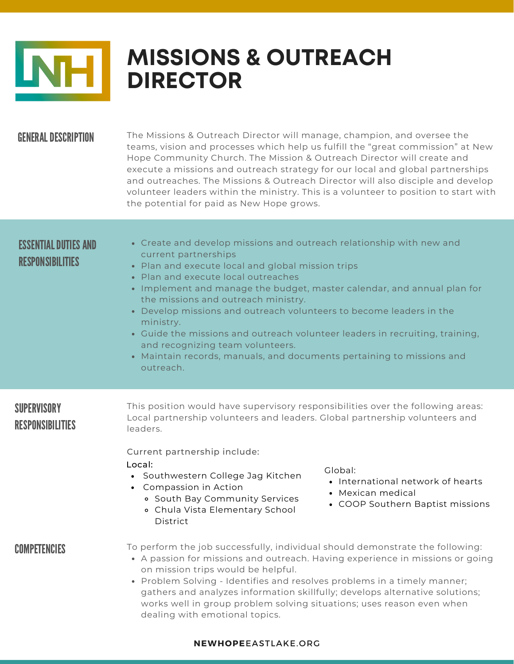

# **MISSIONS & OUTREACH DIRECTOR**

### **GENERAL DESCRIPTION**

The Missions & Outreach Director will manage, champion, and oversee the teams, vision and processes which help us fulfill the "great commission" at New Hope Community Church. The Mission & Outreach Director will create and execute a missions and outreach strategy for our local and global partnerships and outreaches. The Missions & Outreach Director will also disciple and develop volunteer leaders within the ministry. This is a volunteer to position to start with the potential for paid as New Hope grows.

## ESSENTIAL DUTIES AND RESPONSIBILITIES

- Create and develop missions and outreach relationship with new and current partnerships
- Plan and execute local and global mission trips
- Plan and execute local outreaches
- Implement and manage the budget, master calendar, and annual plan for the missions and outreach ministry.
- Develop missions and outreach volunteers to become leaders in the ministry.
- Guide the missions and outreach volunteer leaders in recruiting, training, and recognizing team volunteers.
- Maintain records, manuals, and documents pertaining to missions and outreach.

## **SUPERVISORY** RESPONSIBILITIES

This position would have supervisory responsibilities over the following areas: Local partnership volunteers and leaders. Global partnership volunteers and leaders.

#### Current partnership include:

#### Local:

- Southwestern College Jag Kitchen
- Compassion in Action
	- South Bay Community Services
	- Chula Vista Elementary School **District**

Global:

- International network of hearts
- Mexican medical
- COOP Southern Baptist missions

### COMPETENCIES

- To perform the job successfully, individual should demonstrate the following:
- A passion for missions and outreach. Having experience in missions or going on mission trips would be helpful.
- Problem Solving Identifies and resolves problems in a timely manner; gathers and analyzes information skillfully; develops alternative solutions; works well in group problem solving situations; uses reason even when dealing with emotional topics.

#### **NEWHOPE**EASTLAKE.ORG